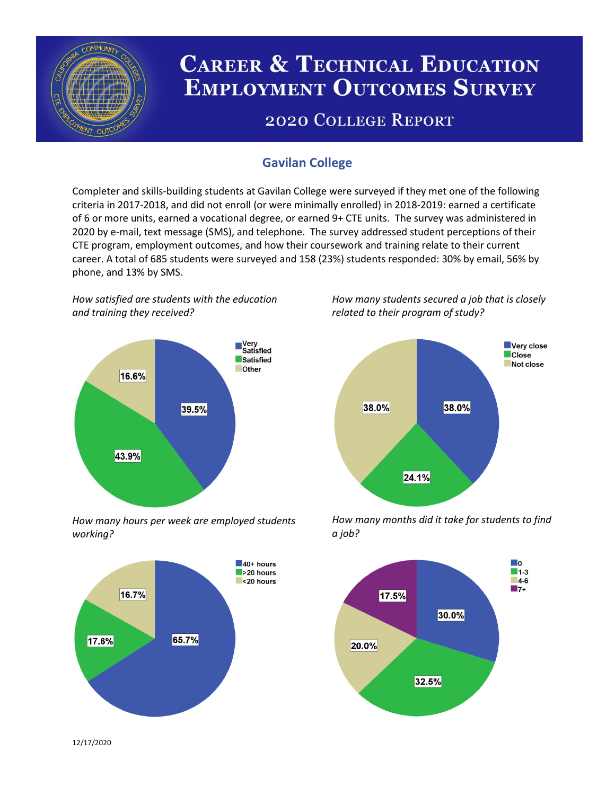

# **CAREER & TECHNICAL EDUCATION EMPLOYMENT OUTCOMES SURVEY**

## **2020 COLLEGE REPORT**

## **Gavilan College**

Completer and skills-building students at Gavilan College were surveyed if they met one of the following criteria in 2017-2018, and did not enroll (or were minimally enrolled) in 2018-2019: earned a certificate of 6 or more units, earned a vocational degree, or earned 9+ CTE units. The survey was administered in 2020 by e-mail, text message (SMS), and telephone. The survey addressed student perceptions of their CTE program, employment outcomes, and how their coursework and training relate to their current career. A total of 685 students were surveyed and 158 (23%) students responded: 30% by email, 56% by phone, and 13% by SMS.

*How satisfied are students with the education and training they received?*



*How many hours per week are employed students working?*



*How many students secured a job that is closely related to their program of study?*



*How many months did it take for students to find a job?*



12/17/2020